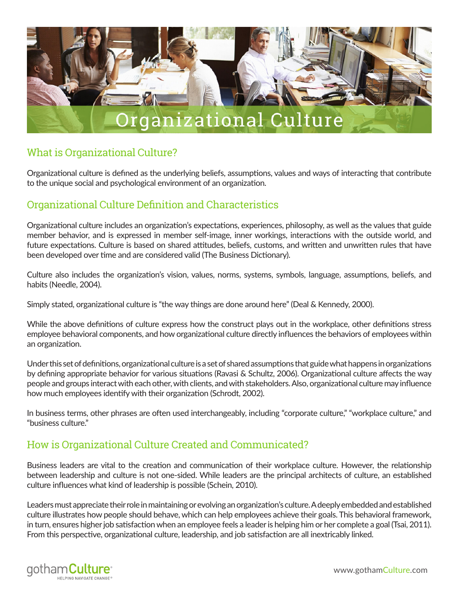

# What is Organizational Culture?

Organizational culture is defined as the underlying beliefs, assumptions, values and ways of interacting that contribute to the unique social and psychological environment of an organization.

# Organizational Culture Definition and Characteristics

Organizational culture includes an organization's expectations, experiences, philosophy, as well as the values that guide member behavior, and is expressed in member self-image, inner workings, interactions with the outside world, and future expectations. Culture is based on shared attitudes, beliefs, customs, and written and unwritten rules that have been developed over time and are considered valid (The Business Dictionary).

Culture also includes the organization's vision, values, norms, systems, symbols, language, assumptions, beliefs, and habits (Needle, 2004).

Simply stated, organizational culture is "the way things are done around here" (Deal & Kennedy, 2000).

While the above definitions of culture express how the construct plays out in the workplace, other definitions stress employee behavioral components, and how organizational culture directly influences the behaviors of employees within an organization.

Under this set of definitions, organizational culture is a set of shared assumptions that guide what happens in organizations by defining appropriate behavior for various situations (Ravasi & Schultz, 2006). Organizational culture affects the way people and groups interact with each other, with clients, and with stakeholders. Also, organizational culture may influence how much employees identify with their organization (Schrodt, 2002).

In business terms, other phrases are often used interchangeably, including "corporate culture," "workplace culture," and "business culture."

# How is Organizational Culture Created and Communicated?

Business leaders are vital to the creation and communication of their workplace culture. However, the relationship between leadership and culture is not one-sided. While leaders are the principal architects of culture, an established culture influences what kind of leadership is possible (Schein, 2010).

Leaders must appreciate their role in maintaining or evolving an organization's culture. A deeply embedded and established culture illustrates how people should behave, which can help employees achieve their goals. This behavioral framework, in turn, ensures higher job satisfaction when an employee feels a leader is helping him or her complete a goal (Tsai, 2011). From this perspective, organizational culture, leadership, and job satisfaction are all inextricably linked.

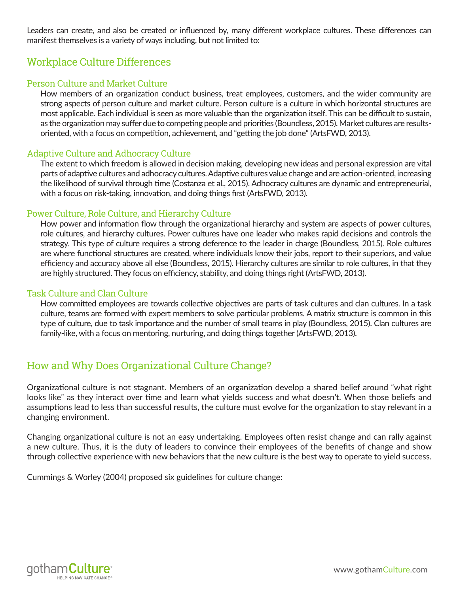Leaders can create, and also be created or influenced by, many different workplace cultures. These differences can manifest themselves is a variety of ways including, but not limited to:

# Workplace Culture Differences

#### Person Culture and Market Culture

How members of an organization conduct business, treat employees, customers, and the wider community are strong aspects of person culture and market culture. Person culture is a culture in which horizontal structures are most applicable. Each individual is seen as more valuable than the organization itself. This can be difficult to sustain, as the organization may suffer due to competing people and priorities (Boundless, 2015). Market cultures are resultsoriented, with a focus on competition, achievement, and "getting the job done" (ArtsFWD, 2013).

#### Adaptive Culture and Adhocracy Culture

The extent to which freedom is allowed in decision making, developing new ideas and personal expression are vital parts of adaptive cultures and adhocracy cultures. Adaptive cultures value change and are action-oriented, increasing the likelihood of survival through time (Costanza et al., 2015). Adhocracy cultures are dynamic and entrepreneurial, with a focus on risk-taking, innovation, and doing things first (ArtsFWD, 2013).

#### Power Culture, Role Culture, and Hierarchy Culture

How power and information flow through the organizational hierarchy and system are aspects of power cultures, role cultures, and hierarchy cultures. Power cultures have one leader who makes rapid decisions and controls the strategy. This type of culture requires a strong deference to the leader in charge (Boundless, 2015). Role cultures are where functional structures are created, where individuals know their jobs, report to their superiors, and value efficiency and accuracy above all else (Boundless, 2015). Hierarchy cultures are similar to role cultures, in that they are highly structured. They focus on efficiency, stability, and doing things right (ArtsFWD, 2013).

#### Task Culture and Clan Culture

How committed employees are towards collective objectives are parts of task cultures and clan cultures. In a task culture, teams are formed with expert members to solve particular problems. A matrix structure is common in this type of culture, due to task importance and the number of small teams in play (Boundless, 2015). Clan cultures are family-like, with a focus on mentoring, nurturing, and doing things together (ArtsFWD, 2013).

# How and Why Does Organizational Culture Change?

Organizational culture is not stagnant. Members of an organization develop a shared belief around "what right looks like" as they interact over time and learn what yields success and what doesn't. When those beliefs and assumptions lead to less than successful results, the culture must evolve for the organization to stay relevant in a changing environment.

Changing organizational culture is not an easy undertaking. Employees often resist change and can rally against a new culture. Thus, it is the duty of leaders to convince their employees of the benefits of change and show through collective experience with new behaviors that the new culture is the best way to operate to yield success.

Cummings & Worley (2004) proposed six guidelines for culture change:

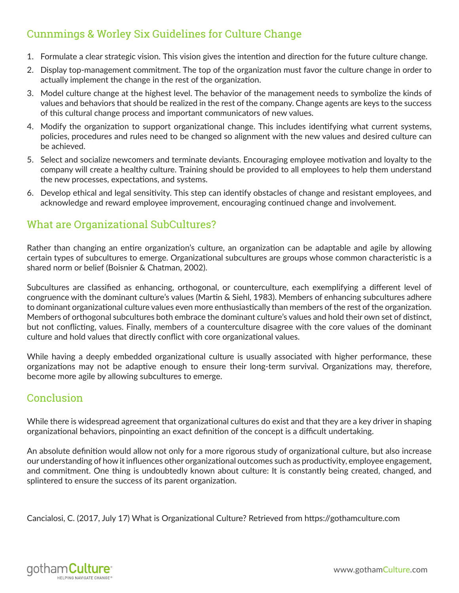# Cunnmings & Worley Six Guidelines for Culture Change

- 1. Formulate a clear strategic vision. This vision gives the intention and direction for the future culture change.
- 2. Display top-management commitment. The top of the organization must favor the culture change in order to actually implement the change in the rest of the organization.
- 3. Model culture change at the highest level. The behavior of the management needs to symbolize the kinds of values and behaviors that should be realized in the rest of the company. Change agents are keys to the success of this cultural change process and important communicators of new values.
- 4. Modify the organization to support organizational change. This includes identifying what current systems, policies, procedures and rules need to be changed so alignment with the new values and desired culture can be achieved.
- 5. Select and socialize newcomers and terminate deviants. Encouraging employee motivation and loyalty to the company will create a healthy culture. Training should be provided to all employees to help them understand the new processes, expectations, and systems.
- 6. Develop ethical and legal sensitivity. This step can identify obstacles of change and resistant employees, and acknowledge and reward employee improvement, encouraging continued change and involvement.

### What are Organizational SubCultures?

Rather than changing an entire organization's culture, an organization can be adaptable and agile by allowing certain types of subcultures to emerge. Organizational subcultures are groups whose common characteristic is a shared norm or belief (Boisnier & Chatman, 2002).

Subcultures are classified as enhancing, orthogonal, or counterculture, each exemplifying a different level of congruence with the dominant culture's values (Martin & Siehl, 1983). Members of enhancing subcultures adhere to dominant organizational culture values even more enthusiastically than members of the rest of the organization. Members of orthogonal subcultures both embrace the dominant culture's values and hold their own set of distinct, but not conflicting, values. Finally, members of a counterculture disagree with the core values of the dominant culture and hold values that directly conflict with core organizational values.

While having a deeply embedded organizational culture is usually associated with higher performance, these organizations may not be adaptive enough to ensure their long-term survival. Organizations may, therefore, become more agile by allowing subcultures to emerge.

### Conclusion

While there is widespread agreement that organizational cultures do exist and that they are a key driver in shaping organizational behaviors, pinpointing an exact definition of the concept is a difficult undertaking.

An absolute definition would allow not only for a more rigorous study of organizational culture, but also increase our understanding of how it influences other organizational outcomes such as productivity, employee engagement, and commitment. One thing is undoubtedly known about culture: It is constantly being created, changed, and splintered to ensure the success of its parent organization.

Cancialosi, C. (2017, July 17) What is Organizational Culture? Retrieved from https://gothamculture.com